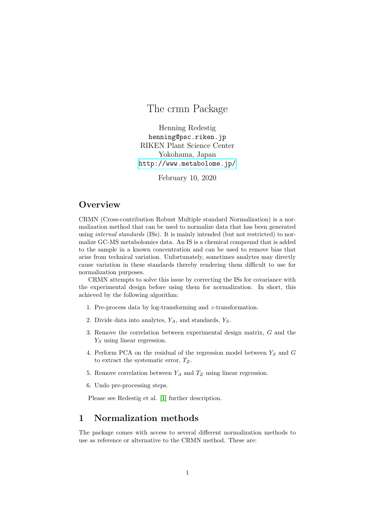# The crmn Package

Henning Redestig henning@psc.riken.jp RIKEN Plant Science Center Yokohama, Japan <http://www.metabolome.jp/>

February 10, 2020

### **Overview**

CRMN (Cross-contribution Robust Multiple standard Normalization) is a normalization method that can be used to normalize data that has been generated using *internal standards* (ISs). It is mainly intended (but not restricted) to normalize GC-MS metabolomics data. An IS is a chemical compound that is added to the sample in a known concentration and can be used to remove bias that arise from technical variation. Unfortunately, sometimes analytes may directly cause variation in these standards thereby rendering them difficult to use for normalization purposes.

CRMN attempts to solve this issue by correcting the ISs for covariance with the experimental design before using them for normalization. In short, this achieved by the following algorithm:

- 1. Pre-process data by log-transforming and z-transformation.
- 2. Divide data into analytes,  $Y_A$ , and standards,  $Y_S$ .
- 3. Remove the correlation between experimental design matrix, G and the  $Y_S$  using linear regression.
- 4. Perform PCA on the residual of the regression model between  $Y_S$  and  $G$ to extract the systematic error,  $T_Z$ .
- 5. Remove correlation between  $Y_A$  and  $T_Z$  using linear regression.
- 6. Undo pre-processing steps.

Please see Redestig et al. [\[1\]](#page-7-0) further description.

### 1 Normalization methods

The package comes with access to several different normalization methods to use as reference or alternative to the CRMN method. These are: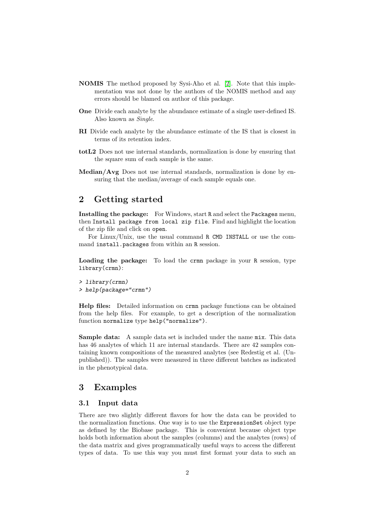- NOMIS The method proposed by Sysi-Aho et al. [\[2\]](#page-7-1). Note that this implementation was not done by the authors of the NOMIS method and any errors should be blamed on author of this package.
- One Divide each analyte by the abundance estimate of a single user-defined IS. Also known as Single.
- RI Divide each analyte by the abundance estimate of the IS that is closest in terms of its retention index.
- totL2 Does not use internal standards, normalization is done by ensuring that the square sum of each sample is the same.
- Median/Avg Does not use internal standards, normalization is done by ensuring that the median/average of each sample equals one.

## 2 Getting started

Installing the package: For Windows, start R and select the Packages menu, then Install package from local zip file. Find and highlight the location of the zip file and click on open.

For Linux/Unix, use the usual command R CMD INSTALL or use the command install.packages from within an R session.

Loading the package: To load the crmn package in your R session, type library(crmn):

```
> library(crmn)
> help(package="crmn")
```
Help files: Detailed information on crmn package functions can be obtained from the help files. For example, to get a description of the normalization function normalize type help("normalize").

Sample data: A sample data set is included under the name mix. This data has 46 analytes of which 11 are internal standards. There are 42 samples containing known compositions of the measured analytes (see Redestig et al. (Unpublished)). The samples were measured in three different batches as indicated in the phenotypical data.

### 3 Examples

#### 3.1 Input data

There are two slightly different flavors for how the data can be provided to the normalization functions. One way is to use the ExpressionSet object type as defined by the Biobase package. This is convenient because object type holds both information about the samples (columns) and the analytes (rows) of the data matrix and gives programmatically useful ways to access the different types of data. To use this way you must first format your data to such an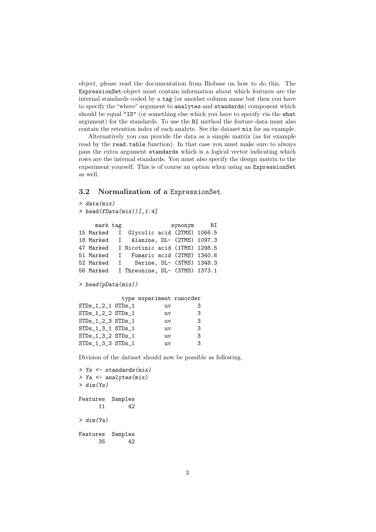object, please read the documentation from Biobase on how to do this. The ExpressionSet-object must contain information about which features are the internal standards coded by a tag (or another column name but then you have to specify the "where" argument to analytes and standards) component which should be equal "IS" (or something else which you have to specify via the what argument) for the standards. To use the RI method the feature data must also contain the retention index of each analyte. See the dataset mix for an example.

Alternatively you can provide the data as a simple matrix (as for example read by the read.table function). In that case you must make sure to always pass the extra argument standards which is a logical vector indicating which rows are the internal standards. You must also specify the design matrix to the experiment yourself. This is of course an option when using an ExpressionSet as well.

#### 3.2 Normalization of a ExpressionSet

```
> data(mix)
> head(fData(mix))[,1:4]
    mark tag synonym RI
15 Marked I Glycolic acid (2TMS) 1066.5
18 Marked I Alanine, DL- (2TMS) 1097.3
47 Marked I Nicotinic acid (1TMS) 1298.5
51 Marked I Fumaric acid (2TMS) 1340.6
52 Marked I Serine, DL- (3TMS) 1348.3
56 Marked I Threonine, DL- (3TMS) 1373.1
> head(pData(mix))
          type experiment runorder
STDs_1_2_1 STDs_1 uv 3
STDs_1_2_2 STDs_1 uv 3
STDs_1_2_3 STDs_1 uv 3
STDs<sub>_1_3_1</sub> STDs_1 uv 3
STDs_1_3_2 STDs_1 uv 3
STDs_1_3_3 STDs_1 uv 3
```
Division of the dataset should now be possible as following.

```
> Ys <- standards(mix)
> Ya <- analytes(mix)
> dim(Y_S)Features Samples
     11 42
> dim(Ya)
Features Samples
     35 42
```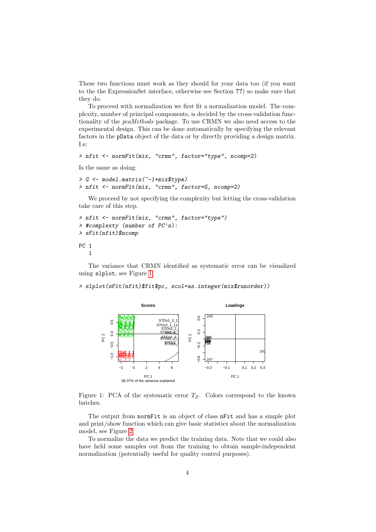These two functions must work as they should for your data too (if you want to the the ExpressionSet interface, otherwise see Section ??) so make sure that they do.

To proceed with normalization we first fit a normalization model. The complexity, number of principal components, is decided by the cross-validation functionality of the pcaMethods package. To use CRMN we also need access to the experimental design. This can be done automatically by specifying the relevant factors in the pData object of the data or by directly providing a design matrix. I.e:

```
> nfit <- normFit(mix, "crmn", factor="type", ncomp=2)
```
Is the same as doing:

```
> G <- model.matrix(~-1+mix$type)
> nfit <- normFit(mix, "crmn", factor=G, ncomp=2)
```
We proceed by not specifying the complexity but letting the cross-validation take care of this step.

```
> nfit <- normFit(mix, "crmn", factor="type")
> #complexty (number of PC's):
> sFit(nfit)$ncomp
PC 1
   1
```
The variance that CRMN identified as systematic error can be visualized using slplot, see Figure [1.](#page-3-0)

#### > slplot(sFit(nfit)\$fit\$pc, scol=as.integer(mix\$runorder))



<span id="page-3-0"></span>Figure 1: PCA of the systematic error  $T_Z$ . Colors correspond to the known batches.

The output from normFit is an object of class nFit and has a simple plot and print/show function which can give basic statistics about the normalization model, see Figure [2](#page-4-0)

To normalize the data we predict the training data. Note that we could also have held some samples out from the training to obtain sample-independent normalization (potentially useful for quality control purposes).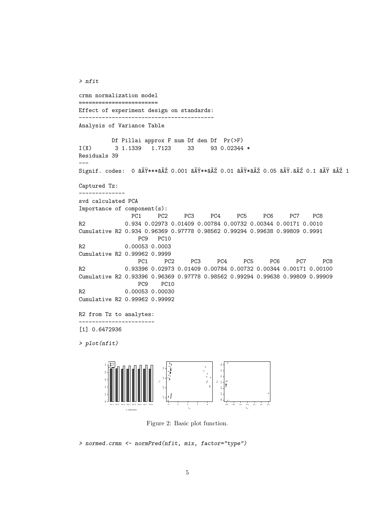crmn normalization model ======================== Effect of experiment design on standards: ----------------------------------------- Analysis of Variance Table Df Pillai approx F num Df den Df Pr(>F) I(X) 3 1.1339 1.7123 33 93 0.02344 \* Residuals 39 --- Signif. codes: 0 âĂŸ\*\*\*âĂŹ 0.001 âĂŸ\*\*âĂŹ 0.01 âĂŸ\*âĂŹ 0.05 âĂŸ.âĂŹ 0.1 âĂŸ âĂŹ 1 Captured Tz: ------------- svd calculated PCA Importance of component(s): PC1 PC2 PC3 PC4 PC5 PC6 PC7 PC8 R2 0.934 0.02973 0.01409 0.00784 0.00732 0.00344 0.00171 0.0010 Cumulative R2 0.934 0.96369 0.97778 0.98562 0.99294 0.99638 0.99809 0.9991 PC9 PC10 R2 0.00053 0.0003 Cumulative R2 0.99962 0.9999 PC1 PC2 PC3 PC4 PC5 PC6 PC7 PC8 R2 0.93396 0.02973 0.01409 0.00784 0.00732 0.00344 0.00171 0.00100 Cumulative R2 0.93396 0.96369 0.97778 0.98562 0.99294 0.99638 0.99809 0.99909 PC9 PC10 R2 0.00053 0.00030 Cumulative R2 0.99962 0.99992 R2 from Tz to analytes: ----------------------- [1] 0.6472936 > plot(nfit) PC 1 PC 2 PC 3 PC 4 PC 5 PC 6 PC 7 PC 8 Tz optimization 0.0 0.2 0.4 0.6 0.8 1.0  $R^2$ Q2 ● −2 0 2 4 6 −1.0 −0.5 0.0 0.5  $T_{21}$ Tz2  $\mathbf{e}^{\mathbf{c}}$ −0.3 −0.2 −0.1 0.0 0.1 0.2 0.3 −0.6 −0.4 −0.2 0.0 0.2 0.4 0.6  $P_x$ Pz2

<span id="page-4-0"></span>Figure 2: Basic plot function.

> normed.crmn <- normPred(nfit, mix, factor="type")

> nfit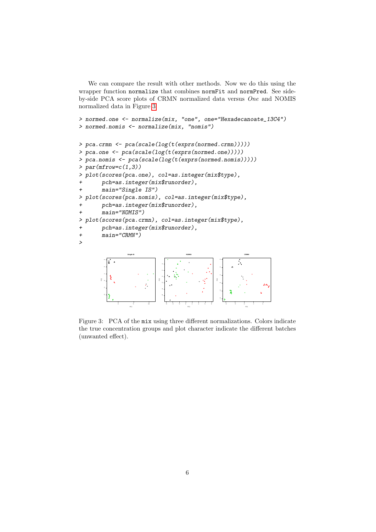We can compare the result with other methods. Now we do this using the wrapper function normalize that combines normFit and normPred. See sideby-side PCA score plots of CRMN normalized data versus One and NOMIS normalized data in Figure [3.](#page-5-0)

```
> normed.one <- normalize(mix, "one", one="Hexadecanoate_13C4")
> normed.nomis <- normalize(mix, "nomis")
> pca.crmn <- pca(scale(log(t(exprs(normed.crmn)))))
> pca.one <- pca(scale(log(t(exprs(normed.one)))))
> pca.nomis <- pca(scale(log(t(exprs(normed.nomis)))))
> par(mfrow=c(1,3))> plot(scores(pca.one), col=as.integer(mix$type),
      pch=as.integer(mix$runorder),
      main="Single IS")
```

```
> plot(scores(pca.nomis), col=as.integer(mix$type),
```

```
pch=as.integer(mix$runorder),
```
 $main="NOMIS")$ 

```
> plot(scores(pca.crmn), col=as.integer(mix$type),
```

```
+ pch=as.integer(mix$runorder),
```

```
+ main="CRMN")
```
>



<span id="page-5-0"></span>Figure 3: PCA of the mix using three different normalizations. Colors indicate the true concentration groups and plot character indicate the different batches (unwanted effect).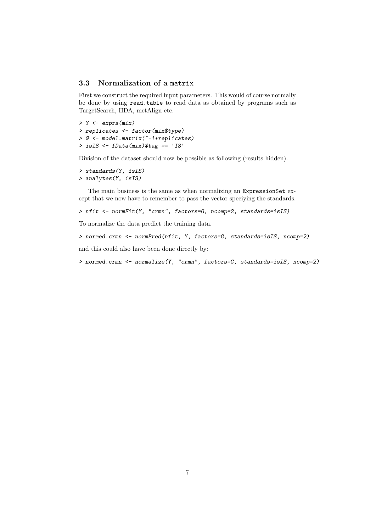#### 3.3 Normalization of a matrix

First we construct the required input parameters. This would of course normally be done by using read.table to read data as obtained by programs such as TargetSearch, HDA, metAlign etc.

> Y <- exprs(mix) > replicates <- factor(mix\$type) > G <- model.matrix(~-1+replicates) > isIS <- fData(mix)\$tag == 'IS'

Division of the dataset should now be possible as following (results hidden).

```
> standards(Y, isIS)
> analytes(Y, isIS)
```
The main business is the same as when normalizing an ExpressionSet except that we now have to remember to pass the vector speciying the standards.

```
> nfit <- normFit(Y, "crmn", factors=G, ncomp=2, standards=isIS)
```
To normalize the data predict the training data.

```
> normed.crmn <- normPred(nfit, Y, factors=G, standards=isIS, ncomp=2)
```
and this could also have been done directly by:

```
> normed.crmn <- normalize(Y, "crmn", factors=G, standards=isIS, ncomp=2)
```